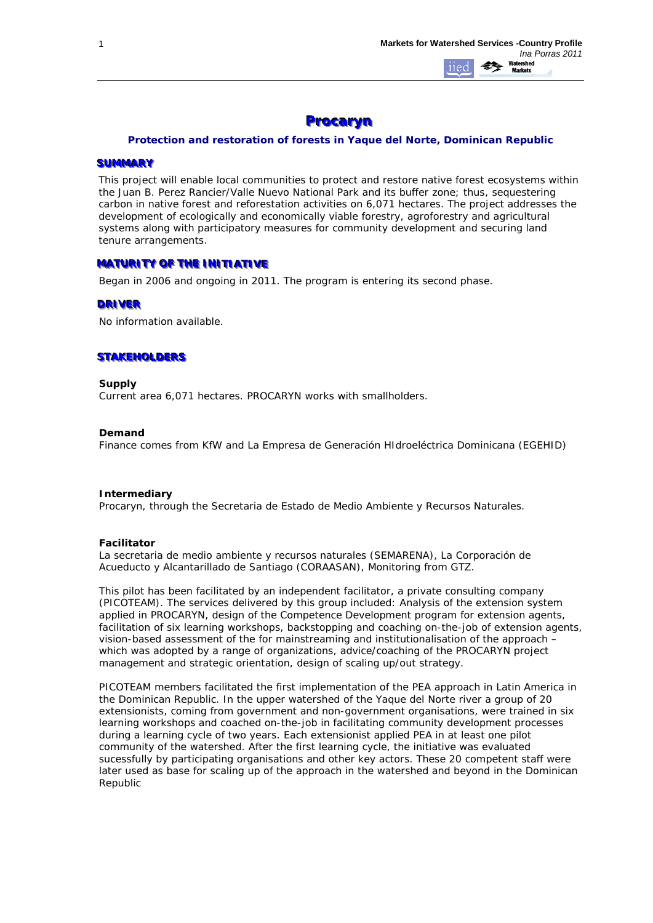# **Procaryn**

### *Protection and restoration of forests in Yaque del Norte, Dominican Republic*

#### **SUMMARY**

This project will enable local communities to protect and restore native forest ecosystems within the Juan B. Perez Rancier/Valle Nuevo National Park and its buffer zone; thus, sequestering carbon in native forest and reforestation activities on 6,071 hectares. The project addresses the development of ecologically and economically viable forestry, agroforestry and agricultural systems along with participatory measures for community development and securing land tenure arrangements.

### **MATURITY OF THE INITIATIVE**

*Began in 2006 and ongoing in 2011. The program is entering its second phase.* 

### **DRIVER**

No information available.

## **STAKEHOLDERS**

### **Supply**

Current area 6,071 hectares. PROCARYN works with smallholders.

### **Demand**

Finance comes from KfW and La Empresa de Generación HIdroeléctrica Dominicana (EGEHID)

### **Intermediary**

Procaryn, through the Secretaria de Estado de Medio Ambiente y Recursos Naturales.

### **Facilitator**

La secretaria de medio ambiente y recursos naturales (SEMARENA), La Corporación de Acueducto y Alcantarillado de Santiago (CORAASAN), Monitoring from GTZ.

This pilot has been facilitated by an independent facilitator, a private consulting company (PICOTEAM). The services delivered by this group included: Analysis of the extension system applied in PROCARYN, design of the Competence Development program for extension agents, facilitation of six learning workshops, backstopping and coaching on-the-job of extension agents, vision-based assessment of the for mainstreaming and institutionalisation of the approach – which was adopted by a range of organizations, advice/coaching of the PROCARYN project management and strategic orientation, design of scaling up/out strategy.

PICOTEAM members facilitated the first implementation of the PEA approach in Latin America in the Dominican Republic. In the upper watershed of the Yaque del Norte river a group of 20 extensionists, coming from government and non-government organisations, were trained in six learning workshops and coached on-the-job in facilitating community development processes during a learning cycle of two years. Each extensionist applied PEA in at least one pilot community of the watershed. After the first learning cycle, the initiative was evaluated sucessfully by participating organisations and other key actors. These 20 competent staff were later used as base for scaling up of the approach in the watershed and beyond in the Dominican Republic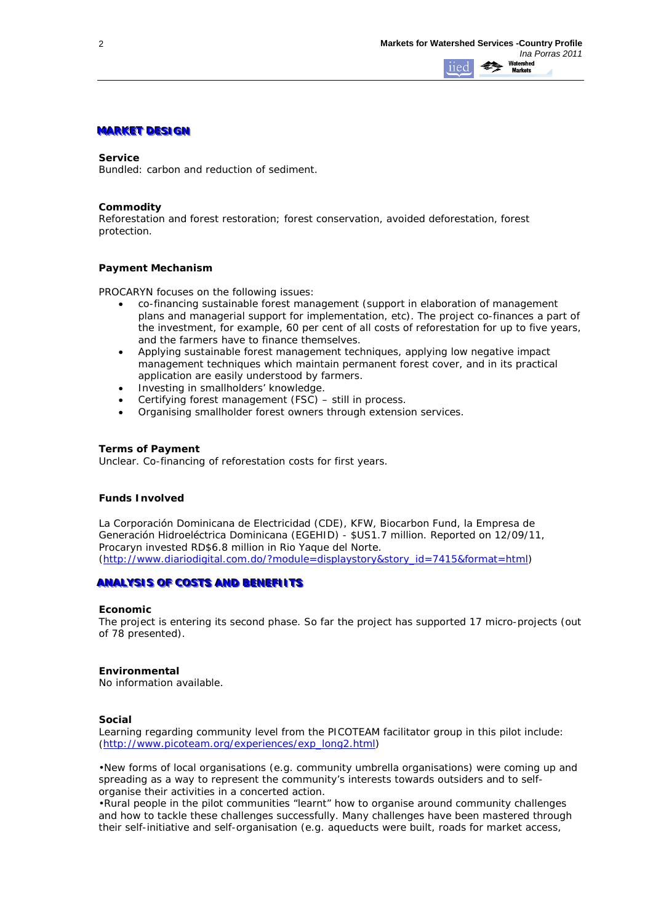## **MARKET DESIGN**

#### **Service**

*Bundled: carbon and reduction of sediment.*

### **Commodity**

*Reforestation and forest restoration; forest conservation, avoided deforestation, forest protection.*

### **Payment Mechanism**

PROCARYN focuses on the following issues:

- co-financing sustainable forest management (support in elaboration of management plans and managerial support for implementation, etc). The project co-finances a part of the investment, for example, 60 per cent of all costs of reforestation for up to five years, and the farmers have to finance themselves.
- Applying sustainable forest management techniques, applying low negative impact management techniques which maintain permanent forest cover, and in its practical application are easily understood by farmers.
- Investing in smallholders' knowledge.
- Certifying forest management (FSC) still in process.
- Organising smallholder forest owners through extension services.

#### **Terms of Payment**

Unclear. Co-financing of reforestation costs for first years.

# **Funds Involved**

La Corporación Dominicana de Electricidad (CDE), KFW, Biocarbon Fund, la Empresa de Generación Hidroeléctrica Dominicana (EGEHID) - \$US1.7 million. Reported on 12/09/11, Procaryn invested RD\$6.8 million in Rio Yaque del Norte. [\(http://www.diariodigital.com.do/?module=displaystory&story\\_id=7415&format=html\)](http://www.diariodigital.com.do/?module=displaystory&story_id=7415&format=html)

### **ANALYSIS OF COSTS AND BENEFIITS**

#### **Economic**

The project is entering its second phase. So far the project has supported 17 micro-projects (out of 78 presented).

#### **Environmental**

No information available.

### **Social**

Learning regarding community level from the PICOTEAM facilitator group in this pilot include: [\(http://www.picoteam.org/experiences/exp\\_long2.html\)](http://www.picoteam.org/experiences/exp_long2.html)

•New forms of local organisations (e.g. community umbrella organisations) were coming up and spreading as a way to represent the community's interests towards outsiders and to selforganise their activities in a concerted action.

•Rural people in the pilot communities "learnt" how to organise around community challenges and how to tackle these challenges successfully. Many challenges have been mastered through their self-initiative and self-organisation (e.g. aqueducts were built, roads for market access,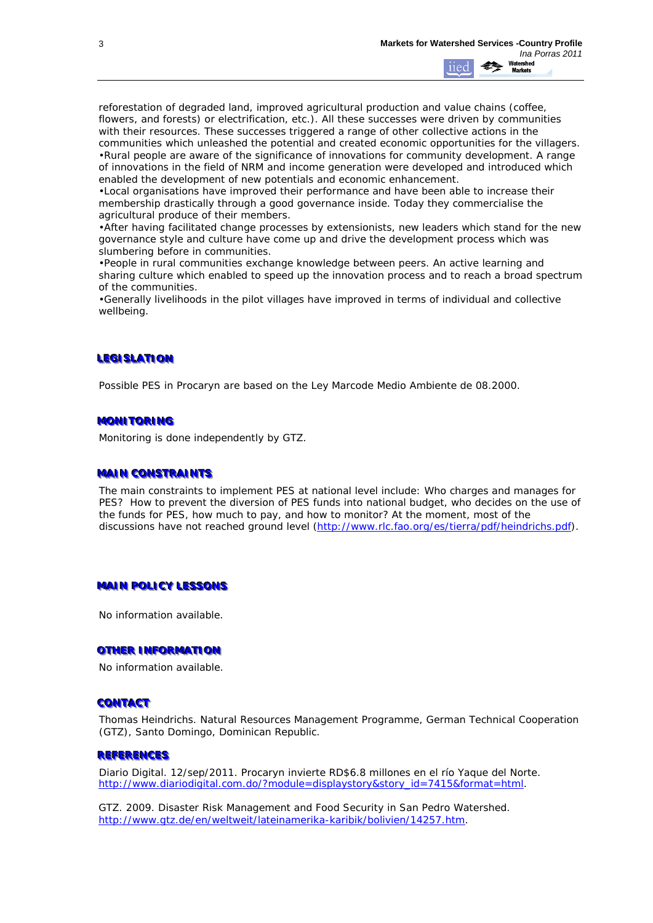reforestation of degraded land, improved agricultural production and value chains (coffee, flowers, and forests) or electrification, etc.). All these successes were driven by communities with their resources. These successes triggered a range of other collective actions in the communities which unleashed the potential and created economic opportunities for the villagers. •Rural people are aware of the significance of innovations for community development. A range of innovations in the field of NRM and income generation were developed and introduced which enabled the development of new potentials and economic enhancement.

•Local organisations have improved their performance and have been able to increase their membership drastically through a good governance inside. Today they commercialise the agricultural produce of their members.

•After having facilitated change processes by extensionists, new leaders which stand for the new governance style and culture have come up and drive the development process which was slumbering before in communities.

•People in rural communities exchange knowledge between peers. An active learning and sharing culture which enabled to speed up the innovation process and to reach a broad spectrum of the communities.

•Generally livelihoods in the pilot villages have improved in terms of individual and collective wellbeing.

# **LEGISLATION**

Possible PES in Procaryn are based on the Ley Marcode Medio Ambiente de 08.2000.

### **MONITORING**

Monitoring is done independently by GTZ.

### **MAIN CONSTRAINTS**

The main constraints to implement PES at national level include: Who charges and manages for PES? How to prevent the diversion of PES funds into national budget, who decides on the use of the funds for PES, how much to pay, and how to monitor? At the moment, most of the discussions have not reached ground level [\(http://www.rlc.fao.org/es/tierra/pdf/heindrichs.pdf\)](http://www.rlc.fao.org/es/tierra/pdf/heindrichs.pdf).

### **MAIN POLICY LESSONS**

No information available.

# **OTHER INFORMATION**

No information available.

### **CONTACT**

Thomas Heindrichs. Natural Resources Management Programme, German Technical Cooperation (GTZ), Santo Domingo, Dominican Republic.

### **REFERENCES**

Diario Digital. 12/sep/2011. Procaryn invierte RD\$6.8 millones en el río Yaque del Norte. [http://www.diariodigital.com.do/?module=displaystory&story\\_id=7415&format=html.](http://www.diariodigital.com.do/?module=displaystory&story_id=7415&format=html)

GTZ. 2009. Disaster Risk Management and Food Security in San Pedro Watershed. [http://www.gtz.de/en/weltweit/lateinamerika-karibik/bolivien/14257.htm.](http://www.gtz.de/en/weltweit/lateinamerika-karibik/bolivien/14257.htm)